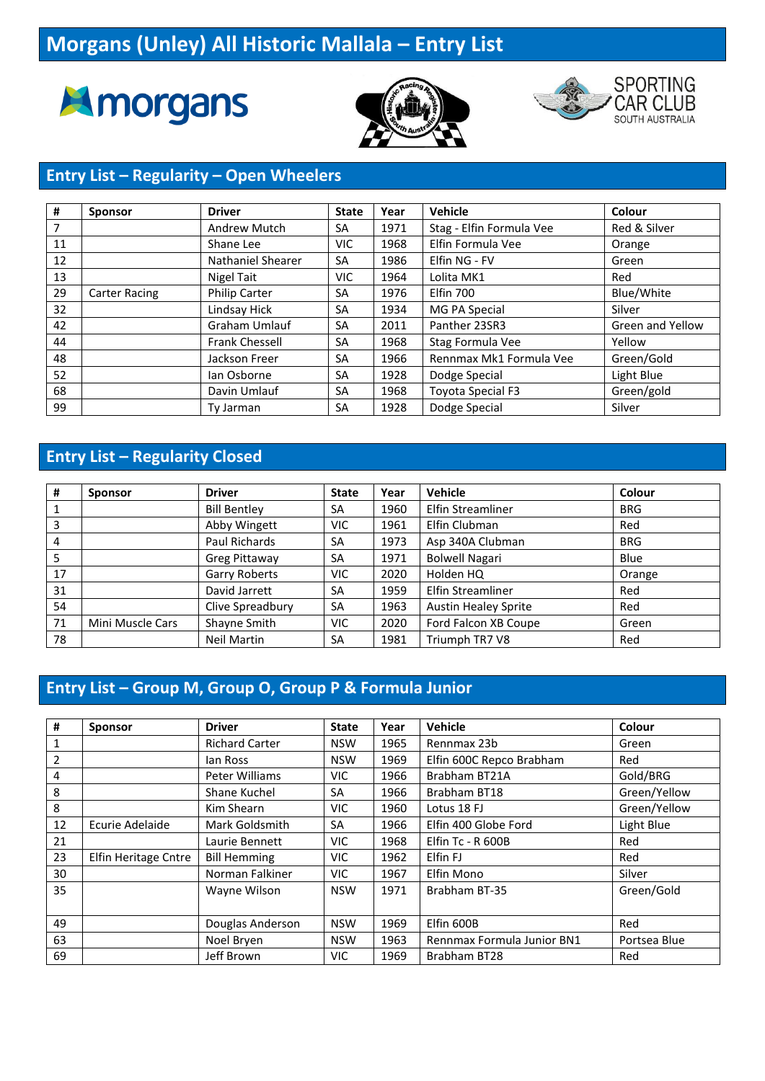# **Morgans (Unley) All Historic Mallala – Entry List**







#### **Entry List – Regularity – Open Wheelers**

| #  | <b>Sponsor</b>       | <b>Driver</b>         | <b>State</b> | Year | <b>Vehicle</b>           | Colour                  |
|----|----------------------|-----------------------|--------------|------|--------------------------|-------------------------|
| 7  |                      | <b>Andrew Mutch</b>   | <b>SA</b>    | 1971 | Stag - Elfin Formula Vee | Red & Silver            |
| 11 |                      | Shane Lee             | VIC.         | 1968 | Elfin Formula Vee        | Orange                  |
| 12 |                      | Nathaniel Shearer     | <b>SA</b>    | 1986 | Elfin NG - FV            | Green                   |
| 13 |                      | Nigel Tait            | VIC.         | 1964 | Lolita MK1               | Red                     |
| 29 | <b>Carter Racing</b> | <b>Philip Carter</b>  | <b>SA</b>    | 1976 | Elfin 700                | Blue/White              |
| 32 |                      | Lindsay Hick          | <b>SA</b>    | 1934 | MG PA Special            | Silver                  |
| 42 |                      | <b>Graham Umlauf</b>  | <b>SA</b>    | 2011 | Panther 23SR3            | <b>Green and Yellow</b> |
| 44 |                      | <b>Frank Chessell</b> | <b>SA</b>    | 1968 | Stag Formula Vee         | Yellow                  |
| 48 |                      | Jackson Freer         | <b>SA</b>    | 1966 | Rennmax Mk1 Formula Vee  | Green/Gold              |
| 52 |                      | lan Osborne           | <b>SA</b>    | 1928 | Dodge Special            | Light Blue              |
| 68 |                      | Davin Umlauf          | <b>SA</b>    | 1968 | Toyota Special F3        | Green/gold              |
| 99 |                      | Ty Jarman             | <b>SA</b>    | 1928 | Dodge Special            | Silver                  |

#### **Entry List – Regularity Closed**

| #  | <b>Sponsor</b>   | <b>Driver</b>        | <b>State</b> | Year | Vehicle                     | Colour     |
|----|------------------|----------------------|--------------|------|-----------------------------|------------|
|    |                  | <b>Bill Bentley</b>  | SA           | 1960 | Elfin Streamliner           | <b>BRG</b> |
| 3  |                  | Abby Wingett         | <b>VIC</b>   | 1961 | Elfin Clubman               | Red        |
| 4  |                  | Paul Richards        | SA           | 1973 | Asp 340A Clubman            | <b>BRG</b> |
| 5  |                  | Greg Pittaway        | SA           | 1971 | <b>Bolwell Nagari</b>       | Blue       |
| 17 |                  | <b>Garry Roberts</b> | <b>VIC</b>   | 2020 | Holden HQ                   | Orange     |
| 31 |                  | David Jarrett        | SA           | 1959 | Elfin Streamliner           | Red        |
| 54 |                  | Clive Spreadbury     | <b>SA</b>    | 1963 | <b>Austin Healey Sprite</b> | Red        |
| 71 | Mini Muscle Cars | Shayne Smith         | <b>VIC</b>   | 2020 | Ford Falcon XB Coupe        | Green      |
| 78 |                  | <b>Neil Martin</b>   | SA           | 1981 | Triumph TR7 V8              | Red        |

### **Entry List – Group M, Group O, Group P & Formula Junior**

| #  | <b>Sponsor</b>       | <b>Driver</b>         | <b>State</b> | Year | <b>Vehicle</b>             | Colour       |
|----|----------------------|-----------------------|--------------|------|----------------------------|--------------|
|    |                      | <b>Richard Carter</b> | <b>NSW</b>   | 1965 | Rennmax 23b                | Green        |
| 2  |                      | lan Ross              | <b>NSW</b>   | 1969 | Elfin 600C Repco Brabham   | Red          |
| 4  |                      | Peter Williams        | VIC.         | 1966 | Brabham BT21A              | Gold/BRG     |
| 8  |                      | Shane Kuchel          | SA           | 1966 | Brabham BT18               | Green/Yellow |
| 8  |                      | Kim Shearn            | VIC.         | 1960 | Lotus 18 FJ                | Green/Yellow |
| 12 | Ecurie Adelaide      | <b>Mark Goldsmith</b> | SA           | 1966 | Elfin 400 Globe Ford       | Light Blue   |
| 21 |                      | Laurie Bennett        | VIC.         | 1968 | Elfin Tc - R 600B          | Red          |
| 23 | Elfin Heritage Cntre | <b>Bill Hemming</b>   | <b>VIC</b>   | 1962 | Elfin FJ                   | Red          |
| 30 |                      | Norman Falkiner       | VIC.         | 1967 | Elfin Mono                 | Silver       |
| 35 |                      | Wayne Wilson          | <b>NSW</b>   | 1971 | Brabham BT-35              | Green/Gold   |
| 49 |                      | Douglas Anderson      | <b>NSW</b>   | 1969 | Elfin 600B                 | Red          |
| 63 |                      | Noel Bryen            | <b>NSW</b>   | 1963 | Rennmax Formula Junior BN1 | Portsea Blue |
| 69 |                      | Jeff Brown            | VIC.         | 1969 | Brabham BT28               | Red          |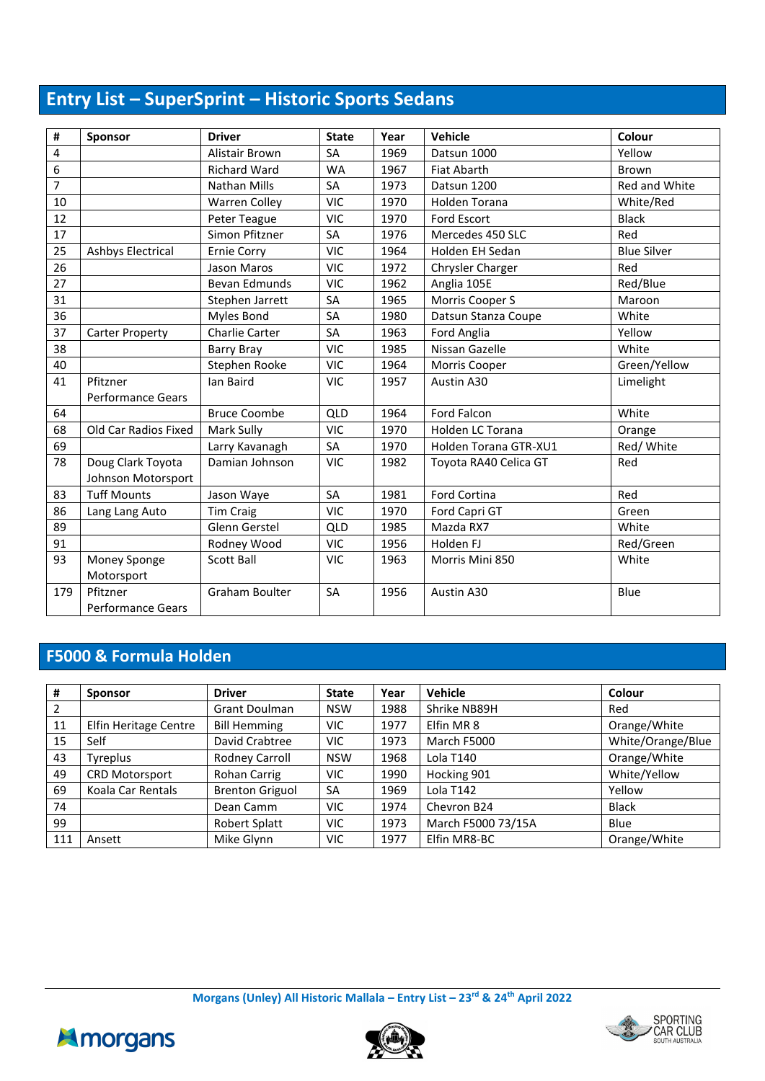## **Entry List – SuperSprint – Historic Sports Sedans**

| #              | <b>Sponsor</b>                          | <b>Driver</b>        | <b>State</b> | Year | Vehicle               | Colour             |
|----------------|-----------------------------------------|----------------------|--------------|------|-----------------------|--------------------|
| 4              |                                         | Alistair Brown       | SA           | 1969 | Datsun 1000           | Yellow             |
| 6              |                                         | <b>Richard Ward</b>  | <b>WA</b>    | 1967 | <b>Fiat Abarth</b>    | <b>Brown</b>       |
| $\overline{7}$ |                                         | <b>Nathan Mills</b>  | SA           | 1973 | Datsun 1200           | Red and White      |
| 10             |                                         | <b>Warren Colley</b> | <b>VIC</b>   | 1970 | <b>Holden Torana</b>  | White/Red          |
| 12             |                                         | Peter Teague         | <b>VIC</b>   | 1970 | Ford Escort           | <b>Black</b>       |
| 17             |                                         | Simon Pfitzner       | SA           | 1976 | Mercedes 450 SLC      | Red                |
| 25             | <b>Ashbys Electrical</b>                | <b>Ernie Corry</b>   | <b>VIC</b>   | 1964 | Holden EH Sedan       | <b>Blue Silver</b> |
| 26             |                                         | Jason Maros          | <b>VIC</b>   | 1972 | Chrysler Charger      | Red                |
| 27             |                                         | <b>Bevan Edmunds</b> | <b>VIC</b>   | 1962 | Anglia 105E           | Red/Blue           |
| 31             |                                         | Stephen Jarrett      | SA           | 1965 | Morris Cooper S       | Maroon             |
| 36             |                                         | Myles Bond           | SA           | 1980 | Datsun Stanza Coupe   | White              |
| 37             | <b>Carter Property</b>                  | Charlie Carter       | SA           | 1963 | Ford Anglia           | Yellow             |
| 38             |                                         | <b>Barry Bray</b>    | <b>VIC</b>   | 1985 | Nissan Gazelle        | White              |
| 40             |                                         | Stephen Rooke        | <b>VIC</b>   | 1964 | Morris Cooper         | Green/Yellow       |
| 41             | Pfitzner<br><b>Performance Gears</b>    | lan Baird            | <b>VIC</b>   | 1957 | Austin A30            | Limelight          |
| 64             |                                         | <b>Bruce Coombe</b>  | QLD          | 1964 | Ford Falcon           | White              |
| 68             | Old Car Radios Fixed                    | Mark Sully           | <b>VIC</b>   | 1970 | Holden LC Torana      | Orange             |
| 69             |                                         | Larry Kavanagh       | SA           | 1970 | Holden Torana GTR-XU1 | Red/ White         |
| 78             | Doug Clark Toyota<br>Johnson Motorsport | Damian Johnson       | <b>VIC</b>   | 1982 | Toyota RA40 Celica GT | Red                |
| 83             | <b>Tuff Mounts</b>                      | Jason Waye           | SA           | 1981 | <b>Ford Cortina</b>   | Red                |
| 86             | Lang Lang Auto                          | <b>Tim Craig</b>     | <b>VIC</b>   | 1970 | Ford Capri GT         | Green              |
| 89             |                                         | Glenn Gerstel        | QLD          | 1985 | Mazda RX7             | White              |
| 91             |                                         | Rodney Wood          | <b>VIC</b>   | 1956 | Holden FJ             | Red/Green          |
| 93             | Money Sponge                            | <b>Scott Ball</b>    | <b>VIC</b>   | 1963 | Morris Mini 850       | White              |
|                | Motorsport                              |                      |              |      |                       |                    |
| 179            | Pfitzner<br><b>Performance Gears</b>    | Graham Boulter       | SA           | 1956 | Austin A30            | Blue               |

### **F5000 & Formula Holden**

| #   | <b>Sponsor</b>        | <b>Driver</b>          | <b>State</b> | Year | <b>Vehicle</b>     | Colour            |
|-----|-----------------------|------------------------|--------------|------|--------------------|-------------------|
| 2   |                       | <b>Grant Doulman</b>   | <b>NSW</b>   | 1988 | Shrike NB89H       | Red               |
| 11  | Elfin Heritage Centre | <b>Bill Hemming</b>    | <b>VIC</b>   | 1977 | Elfin MR 8         | Orange/White      |
| 15  | Self                  | David Crabtree         | <b>VIC</b>   | 1973 | March F5000        | White/Orange/Blue |
| 43  | Tyreplus              | Rodney Carroll         | <b>NSW</b>   | 1968 | Lola T140          | Orange/White      |
| 49  | <b>CRD Motorsport</b> | Rohan Carrig           | VIC.         | 1990 | Hocking 901        | White/Yellow      |
| 69  | Koala Car Rentals     | <b>Brenton Griguol</b> | <b>SA</b>    | 1969 | Lola T142          | Yellow            |
| 74  |                       | Dean Camm              | VIC          | 1974 | Chevron B24        | <b>Black</b>      |
| 99  |                       | Robert Splatt          | <b>VIC</b>   | 1973 | March F5000 73/15A | Blue              |
| 111 | Ansett                | Mike Glynn             | <b>VIC</b>   | 1977 | Elfin MR8-BC       | Orange/White      |





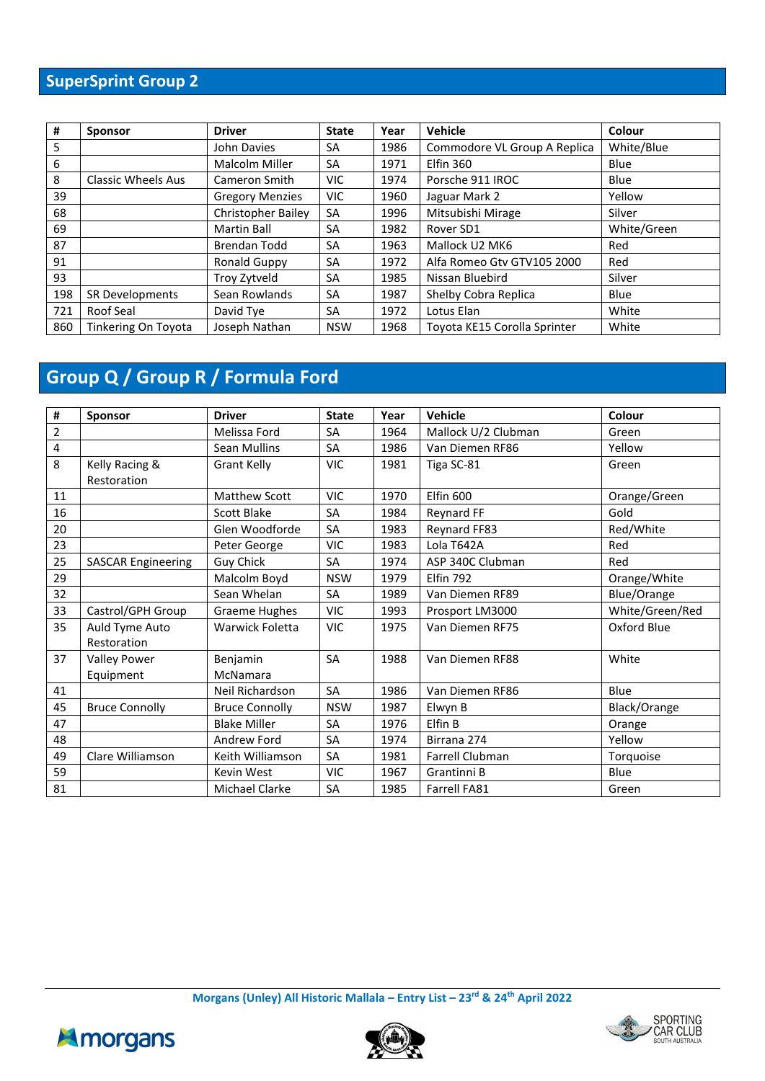## **SuperSprint Group 2**

| #   | <b>Sponsor</b>             | <b>Driver</b>             | <b>State</b> | Year | Vehicle                      | Colour      |
|-----|----------------------------|---------------------------|--------------|------|------------------------------|-------------|
| 5   |                            | John Davies               | <b>SA</b>    | 1986 | Commodore VL Group A Replica | White/Blue  |
| 6   |                            | Malcolm Miller            | <b>SA</b>    | 1971 | <b>Elfin 360</b>             | Blue        |
| 8   | Classic Wheels Aus         | Cameron Smith             | <b>VIC</b>   | 1974 | Porsche 911 IROC             | Blue        |
| 39  |                            | <b>Gregory Menzies</b>    | VIC.         | 1960 | Jaguar Mark 2                | Yellow      |
| 68  |                            | <b>Christopher Bailey</b> | <b>SA</b>    | 1996 | Mitsubishi Mirage            | Silver      |
| 69  |                            | <b>Martin Ball</b>        | SA           | 1982 | Rover SD1                    | White/Green |
| 87  |                            | Brendan Todd              | <b>SA</b>    | 1963 | Mallock U2 MK6               | Red         |
| 91  |                            | Ronald Guppy              | <b>SA</b>    | 1972 | Alfa Romeo Gtv GTV105 2000   | Red         |
| 93  |                            | Troy Zytveld              | <b>SA</b>    | 1985 | Nissan Bluebird              | Silver      |
| 198 | <b>SR Developments</b>     | Sean Rowlands             | SA           | 1987 | Shelby Cobra Replica         | Blue        |
| 721 | Roof Seal                  | David Tye                 | SA           | 1972 | Lotus Elan                   | White       |
| 860 | <b>Tinkering On Toyota</b> | Joseph Nathan             | <b>NSW</b>   | 1968 | Toyota KE15 Corolla Sprinter | White       |

## **Group Q / Group R / Formula Ford**

| #              | <b>Sponsor</b>            | <b>Driver</b>         | <b>State</b> | Year | <b>Vehicle</b>      | Colour          |
|----------------|---------------------------|-----------------------|--------------|------|---------------------|-----------------|
| $\overline{2}$ |                           | Melissa Ford          | SA           | 1964 | Mallock U/2 Clubman | Green           |
| 4              |                           | Sean Mullins          | SA           | 1986 | Van Diemen RF86     | Yellow          |
| 8              | Kelly Racing &            | <b>Grant Kelly</b>    | <b>VIC</b>   | 1981 | Tiga SC-81          | Green           |
|                | Restoration               |                       |              |      |                     |                 |
| 11             |                           | <b>Matthew Scott</b>  | <b>VIC</b>   | 1970 | Elfin 600           | Orange/Green    |
| 16             |                           | Scott Blake           | <b>SA</b>    | 1984 | <b>Reynard FF</b>   | Gold            |
| 20             |                           | Glen Woodforde        | SA           | 1983 | Reynard FF83        | Red/White       |
| 23             |                           | Peter George          | <b>VIC</b>   | 1983 | Lola T642A          | Red             |
| 25             | <b>SASCAR Engineering</b> | <b>Guy Chick</b>      | <b>SA</b>    | 1974 | ASP 340C Clubman    | Red             |
| 29             |                           | Malcolm Boyd          | <b>NSW</b>   | 1979 | Elfin 792           | Orange/White    |
| 32             |                           | Sean Whelan           | SA           | 1989 | Van Diemen RF89     | Blue/Orange     |
| 33             | Castrol/GPH Group         | Graeme Hughes         | VIC          | 1993 | Prosport LM3000     | White/Green/Red |
| 35             | Auld Tyme Auto            | Warwick Foletta       | <b>VIC</b>   | 1975 | Van Diemen RF75     | Oxford Blue     |
|                | Restoration               |                       |              |      |                     |                 |
| 37             | <b>Valley Power</b>       | Benjamin              | SA           | 1988 | Van Diemen RF88     | White           |
|                | Equipment                 | McNamara              |              |      |                     |                 |
| 41             |                           | Neil Richardson       | SA           | 1986 | Van Diemen RF86     | Blue            |
| 45             | <b>Bruce Connolly</b>     | <b>Bruce Connolly</b> | <b>NSW</b>   | 1987 | Elwyn B             | Black/Orange    |
| 47             |                           | <b>Blake Miller</b>   | SA           | 1976 | Elfin B             | Orange          |
| 48             |                           | Andrew Ford           | SA           | 1974 | Birrana 274         | Yellow          |
| 49             | Clare Williamson          | Keith Williamson      | SA           | 1981 | Farrell Clubman     | Torquoise       |
| 59             |                           | Kevin West            | <b>VIC</b>   | 1967 | Grantinni B         | Blue            |
| 81             |                           | <b>Michael Clarke</b> | SA           | 1985 | <b>Farrell FA81</b> | Green           |





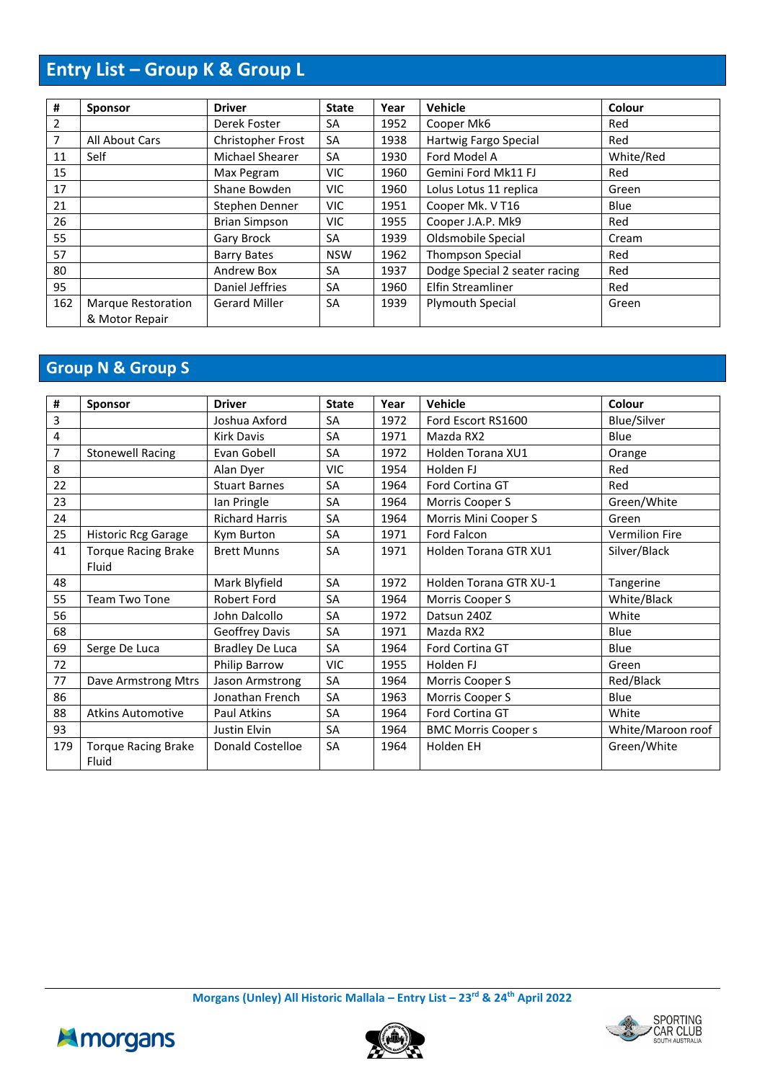## **Entry List – Group K & Group L**

| #   | <b>Sponsor</b>     | <b>Driver</b>        | <b>State</b> | Year | <b>Vehicle</b>                | Colour    |
|-----|--------------------|----------------------|--------------|------|-------------------------------|-----------|
| 2   |                    | Derek Foster         | <b>SA</b>    | 1952 | Cooper Mk6                    | Red       |
| 7   | All About Cars     | Christopher Frost    | SA           | 1938 | Hartwig Fargo Special         | Red       |
| 11  | Self               | Michael Shearer      | SA           | 1930 | Ford Model A                  | White/Red |
| 15  |                    | Max Pegram           | VIC.         | 1960 | Gemini Ford Mk11 FJ           | Red       |
| 17  |                    | Shane Bowden         | VIC.         | 1960 | Lolus Lotus 11 replica        | Green     |
| 21  |                    | Stephen Denner       | VIC.         | 1951 | Cooper Mk. V T16              | Blue      |
| 26  |                    | <b>Brian Simpson</b> | VIC.         | 1955 | Cooper J.A.P. Mk9             | Red       |
| 55  |                    | Gary Brock           | <b>SA</b>    | 1939 | Oldsmobile Special            | Cream     |
| 57  |                    | <b>Barry Bates</b>   | <b>NSW</b>   | 1962 | <b>Thompson Special</b>       | Red       |
| 80  |                    | Andrew Box           | <b>SA</b>    | 1937 | Dodge Special 2 seater racing | Red       |
| 95  |                    | Daniel Jeffries      | SA           | 1960 | Elfin Streamliner             | Red       |
| 162 | Marque Restoration | <b>Gerard Miller</b> | <b>SA</b>    | 1939 | <b>Plymouth Special</b>       | Green     |
|     | & Motor Repair     |                      |              |      |                               |           |

## **Group N & Group S**

| #   | <b>Sponsor</b>                      | <b>Driver</b>           | <b>State</b> | Year | <b>Vehicle</b>             | Colour            |
|-----|-------------------------------------|-------------------------|--------------|------|----------------------------|-------------------|
| 3   |                                     | Joshua Axford           | <b>SA</b>    | 1972 | Ford Escort RS1600         | Blue/Silver       |
| 4   |                                     | <b>Kirk Davis</b>       | <b>SA</b>    | 1971 | Mazda RX2                  | Blue              |
| 7   | <b>Stonewell Racing</b>             | Evan Gobell             | <b>SA</b>    | 1972 | Holden Torana XU1          | Orange            |
| 8   |                                     | Alan Dyer               | <b>VIC</b>   | 1954 | Holden FJ                  | Red               |
| 22  |                                     | <b>Stuart Barnes</b>    | SA           | 1964 | Ford Cortina GT            | Red               |
| 23  |                                     | lan Pringle             | <b>SA</b>    | 1964 | Morris Cooper S            | Green/White       |
| 24  |                                     | <b>Richard Harris</b>   | <b>SA</b>    | 1964 | Morris Mini Cooper S       | Green             |
| 25  | <b>Historic Rcg Garage</b>          | Kym Burton              | <b>SA</b>    | 1971 | <b>Ford Falcon</b>         | Vermilion Fire    |
| 41  | <b>Torque Racing Brake</b><br>Fluid | <b>Brett Munns</b>      | <b>SA</b>    | 1971 | Holden Torana GTR XU1      | Silver/Black      |
| 48  |                                     | Mark Blyfield           | <b>SA</b>    | 1972 | Holden Torana GTR XU-1     | Tangerine         |
| 55  | <b>Team Two Tone</b>                | <b>Robert Ford</b>      | <b>SA</b>    | 1964 | Morris Cooper S            | White/Black       |
| 56  |                                     | John Dalcollo           | <b>SA</b>    | 1972 | Datsun 240Z                | White             |
| 68  |                                     | Geoffrey Davis          | SA           | 1971 | Mazda RX2                  | Blue              |
| 69  | Serge De Luca                       | <b>Bradley De Luca</b>  | <b>SA</b>    | 1964 | Ford Cortina GT            | Blue              |
| 72  |                                     | Philip Barrow           | <b>VIC</b>   | 1955 | Holden FJ                  | Green             |
| 77  | Dave Armstrong Mtrs                 | Jason Armstrong         | <b>SA</b>    | 1964 | Morris Cooper S            | Red/Black         |
| 86  |                                     | Jonathan French         | SA           | 1963 | Morris Cooper S            | Blue              |
| 88  | <b>Atkins Automotive</b>            | Paul Atkins             | SA           | 1964 | Ford Cortina GT            | White             |
| 93  |                                     | Justin Elvin            | SA           | 1964 | <b>BMC Morris Cooper s</b> | White/Maroon roof |
| 179 | <b>Torque Racing Brake</b><br>Fluid | <b>Donald Costelloe</b> | <b>SA</b>    | 1964 | Holden EH                  | Green/White       |

**Morgans (Unley) All Historic Mallala – Entry List – 23rd & 24th April 2022**